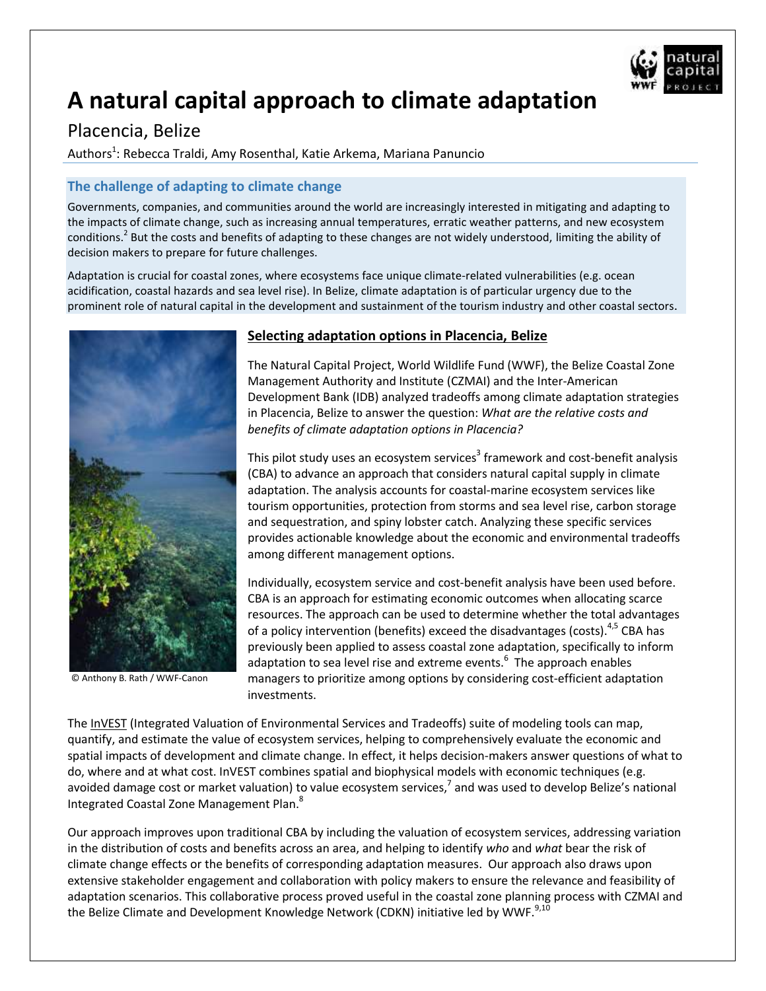

# **A natural capital approach to climate adaptation**

# Placencia, Belize

Authors<sup>1</sup>: Rebecca Traldi, Amy Rosenthal, Katie Arkema, Mariana Panuncio

## **The challenge of adapting to climate change**

Governments, companies, and communities around the world are increasingly interested in mitigating and adapting to the impacts of climate change, such as increasing annual temperatures, erratic weather patterns, and new ecosystem conditions.<sup>2</sup> But the costs and benefits of adapting to these changes are not widely understood, limiting the ability of decision makers to prepare for future challenges.

Adaptation is crucial for coastal zones, where ecosystems face unique climate-related vulnerabilities (e.g. ocean acidification, coastal hazards and sea level rise). In Belize, climate adaptation is of particular urgency due to the prominent role of natural capital in the development and sustainment of the tourism industry and other coastal sectors.



© Anthony B. Rath / WWF-Canon

### **Selecting adaptation options in Placencia, Belize**

The Natural Capital Project, World Wildlife Fund (WWF), the Belize Coastal Zone Management Authority and Institute (CZMAI) and the Inter-American Development Bank (IDB) analyzed tradeoffs among climate adaptation strategies in Placencia, Belize to answer the question: *What are the relative costs and benefits of climate adaptation options in Placencia?*

This pilot study uses an ecosystem services<sup>3</sup> framework and cost-benefit analysis (CBA) to advance an approach that considers natural capital supply in climate adaptation. The analysis accounts for coastal-marine ecosystem services like tourism opportunities, protection from storms and sea level rise, carbon storage and sequestration, and spiny lobster catch. Analyzing these specific services provides actionable knowledge about the economic and environmental tradeoffs among different management options.

Individually, ecosystem service and cost-benefit analysis have been used before. CBA is an approach for estimating economic outcomes when allocating scarce resources. The approach can be used to determine whether the total advantages of a policy intervention (benefits) exceed the disadvantages (costs).<sup>4,5</sup> CBA has previously been applied to assess coastal zone adaptation, specifically to inform adaptation to sea level rise and extreme events.<sup>6</sup> The approach enables managers to prioritize among options by considering cost-efficient adaptation investments.

The [InVEST](http://naturalcapitalproject.org/InVEST.html) (Integrated Valuation of Environmental Services and Tradeoffs) suite of modeling tools can map, quantify, and estimate the value of ecosystem services, helping to comprehensively evaluate the economic and spatial impacts of development and climate change. In effect, it helps decision-makers answer questions of what to do, where and at what cost. InVEST combines spatial and biophysical models with economic techniques (e.g. avoided damage cost or market valuation) to value ecosystem services,<sup>7</sup> and was used to develop Belize's national Integrated Coastal Zone Management Plan.<sup>8</sup>

Our approach improves upon traditional CBA by including the valuation of ecosystem services, addressing variation in the distribution of costs and benefits across an area, and helping to identify *who* and *what* bear the risk of climate change effects or the benefits of corresponding adaptation measures. Our approach also draws upon extensive stakeholder engagement and collaboration with policy makers to ensure the relevance and feasibility of adaptation scenarios. This collaborative process proved useful in the coastal zone planning process with CZMAI and the Belize Climate and Development Knowledge Network (CDKN) initiative led by WWF.<sup>9,10</sup>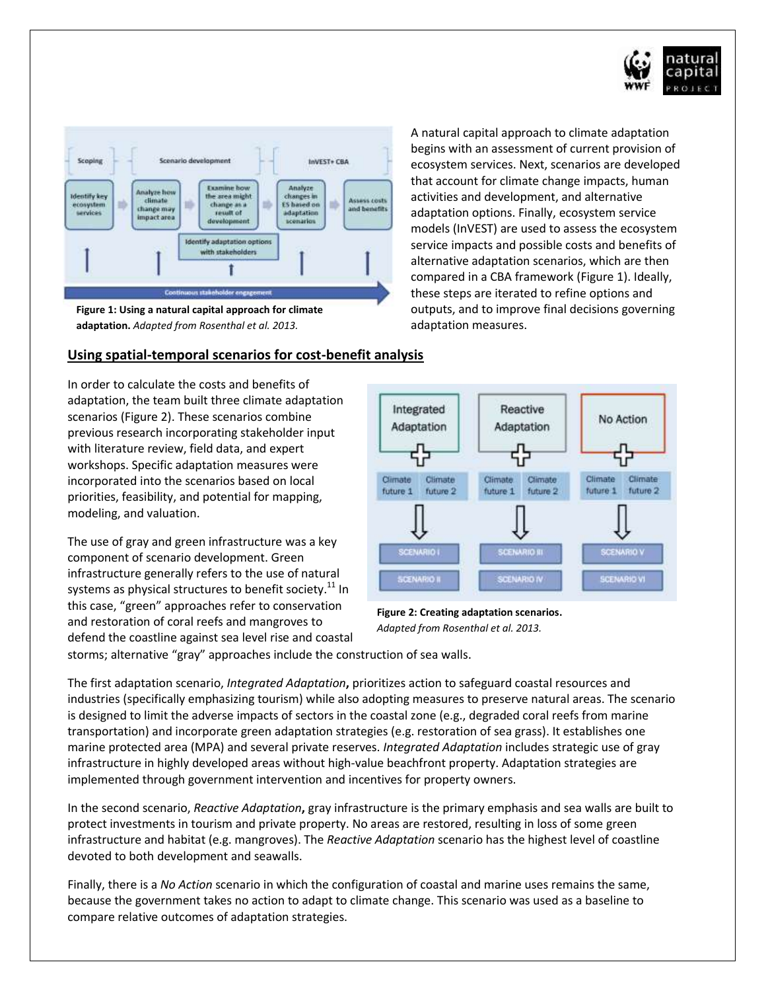



**Figure 1: Using a natural capital approach for climate adaptation.** *Adapted from Rosenthal et al. 2013.* 

#### **Using spatial-temporal scenarios for cost-benefit analysis**

In order to calculate the costs and benefits of adaptation, the team built three climate adaptation scenarios (Figure 2). These scenarios combine previous research incorporating stakeholder input with literature review, field data, and expert workshops. Specific adaptation measures were incorporated into the scenarios based on local priorities, feasibility, and potential for mapping, modeling, and valuation.

The use of gray and green infrastructure was a key component of scenario development. Green infrastructure generally refers to the use of natural systems as physical structures to benefit society. $^{11}$  In this case, "green" approaches refer to conservation and restoration of coral reefs and mangroves to defend the coastline against sea level rise and coastal A natural capital approach to climate adaptation begins with an assessment of current provision of ecosystem services. Next, scenarios are developed that account for climate change impacts, human activities and development, and alternative adaptation options. Finally, ecosystem service models (InVEST) are used to assess the ecosystem service impacts and possible costs and benefits of alternative adaptation scenarios, which are then compared in a CBA framework (Figure 1). Ideally, these steps are iterated to refine options and outputs, and to improve final decisions governing adaptation measures.



**Figure 2: Creating adaptation scenarios.** *Adapted from Rosenthal et al. 2013.* 

storms; alternative "gray" approaches include the construction of sea walls.

The first adaptation scenario, *Integrated Adaptation***,** prioritizes action to safeguard coastal resources and industries (specifically emphasizing tourism) while also adopting measures to preserve natural areas. The scenario is designed to limit the adverse impacts of sectors in the coastal zone (e.g., degraded coral reefs from marine transportation) and incorporate green adaptation strategies (e.g. restoration of sea grass). It establishes one marine protected area (MPA) and several private reserves. *Integrated Adaptation* includes strategic use of gray infrastructure in highly developed areas without high-value beachfront property. Adaptation strategies are implemented through government intervention and incentives for property owners.

In the second scenario, *Reactive Adaptation***,** gray infrastructure is the primary emphasis and sea walls are built to protect investments in tourism and private property. No areas are restored, resulting in loss of some green infrastructure and habitat (e.g. mangroves). The *Reactive Adaptation* scenario has the highest level of coastline devoted to both development and seawalls.

Finally, there is a *No Action* scenario in which the configuration of coastal and marine uses remains the same, because the government takes no action to adapt to climate change. This scenario was used as a baseline to compare relative outcomes of adaptation strategies.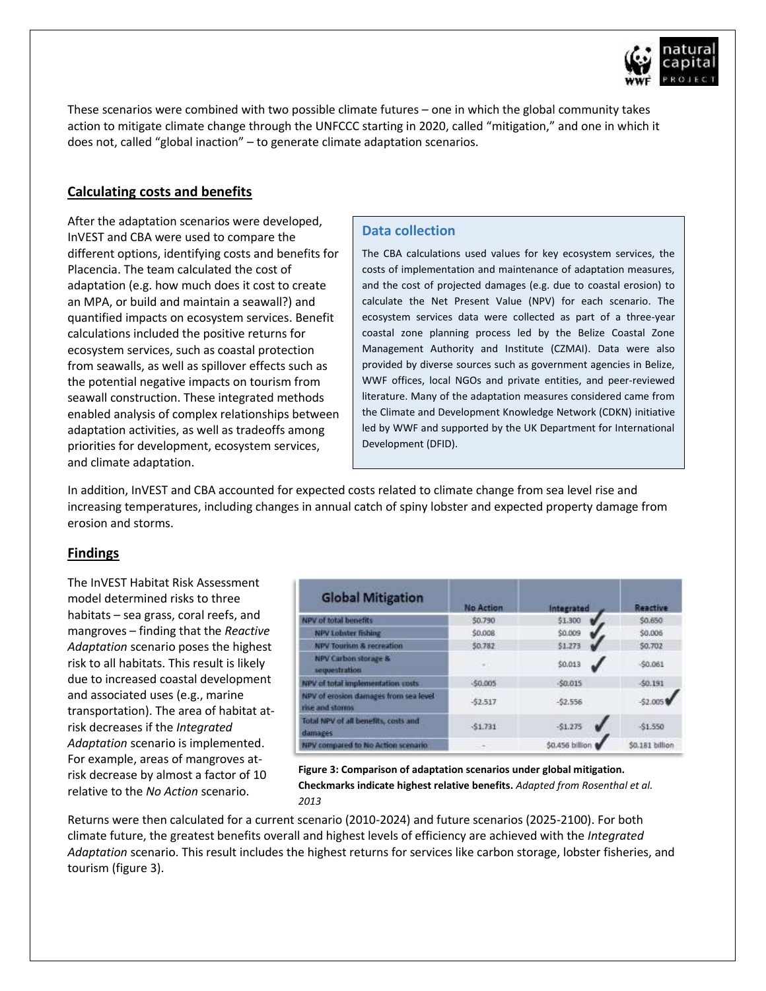

These scenarios were combined with two possible climate futures – one in which the global community takes action to mitigate climate change through the UNFCCC starting in 2020, called "mitigation," and one in which it does not, called "global inaction" – to generate climate adaptation scenarios.

### **Calculating costs and benefits**

After the adaptation scenarios were developed, InVEST and CBA were used to compare the different options, identifying costs and benefits for Placencia. The team calculated the cost of adaptation (e.g. how much does it cost to create an MPA, or build and maintain a seawall?) and quantified impacts on ecosystem services. Benefit calculations included the positive returns for ecosystem services, such as coastal protection from seawalls, as well as spillover effects such as the potential negative impacts on tourism from seawall construction. These integrated methods enabled analysis of complex relationships between adaptation activities, as well as tradeoffs among priorities for development, ecosystem services, and climate adaptation.

#### **Data collection**

The CBA calculations used values for key ecosystem services, the costs of implementation and maintenance of adaptation measures, and the cost of projected damages (e.g. due to coastal erosion) to calculate the Net Present Value (NPV) for each scenario. The ecosystem services data were collected as part of a three-year coastal zone planning process led by the Belize Coastal Zone Management Authority and Institute (CZMAI). Data were also provided by diverse sources such as government agencies in Belize, WWF offices, local NGOs and private entities, and peer-reviewed literature. Many of the adaptation measures considered came from the Climate and Development Knowledge Network (CDKN) initiative led by WWF and supported by the UK Department for International Development (DFID).

In addition, InVEST and CBA accounted for expected costs related to climate change from sea level rise and increasing temperatures, including changes in annual catch of spiny lobster and expected property damage from erosion and storms.

### **Findings**

The InVEST Habitat Risk Assessment model determined risks to three habitats – sea grass, coral reefs, and mangroves – finding that the *Reactive Adaptation* scenario poses the highest risk to all habitats. This result is likely due to increased coastal development and associated uses (e.g., marine transportation). The area of habitat atrisk decreases if the *Integrated Adaptation* scenario is implemented. For example, areas of mangroves atrisk decrease by almost a factor of 10 relative to the *No Action* scenario.

| <b>Global Mitigation</b>                                                                        | <b>No Action</b> | Integrated      | <b>Reactive</b> |
|-------------------------------------------------------------------------------------------------|------------------|-----------------|-----------------|
| NPV of total benefits                                                                           | \$0.790          | \$1,300         | \$0,650         |
| NPV Lobster fishing                                                                             | \$0,008          | \$0.009         | \$0.006         |
| <b>NPV Tourism &amp; recreation</b>                                                             | 50.782           | \$1.273         | \$0.702         |
| NPV Carbon storage &<br>sequestration                                                           | $-1$             | \$0.013         | S0.061          |
| NPV of total implementation costs.                                                              | $-50.005$        | $-50.015$       | $-50.191$       |
| NPV of erosion damages from sea level<br>rise and storms                                        | $-52.517$        | $-52.556$       | $-52.005$       |
| Total NPV of all benefits, costs and<br>the control of the control of the control of<br>damages | \$1.731          | $-51.275$       | \$1.550         |
| NPV compared to No Action scenario                                                              | - 2              | \$0.456 billion | \$0.181 billion |

**Figure 3: Comparison of adaptation scenarios under global mitigation. Checkmarks indicate highest relative benefits.** *Adapted from Rosenthal et al. 2013*

*Adapted from Rosenthal et al. 2013.*  Returns were then calculated for a current scenario (2010-2024) and future scenarios (2025-2100). For both climate future, the greatest benefits overall and highest levels of efficiency are achieved with the *Integrated Adaptation* scenario. This result includes the highest returns for services like carbon storage, lobster fisheries, and tourism (figure 3).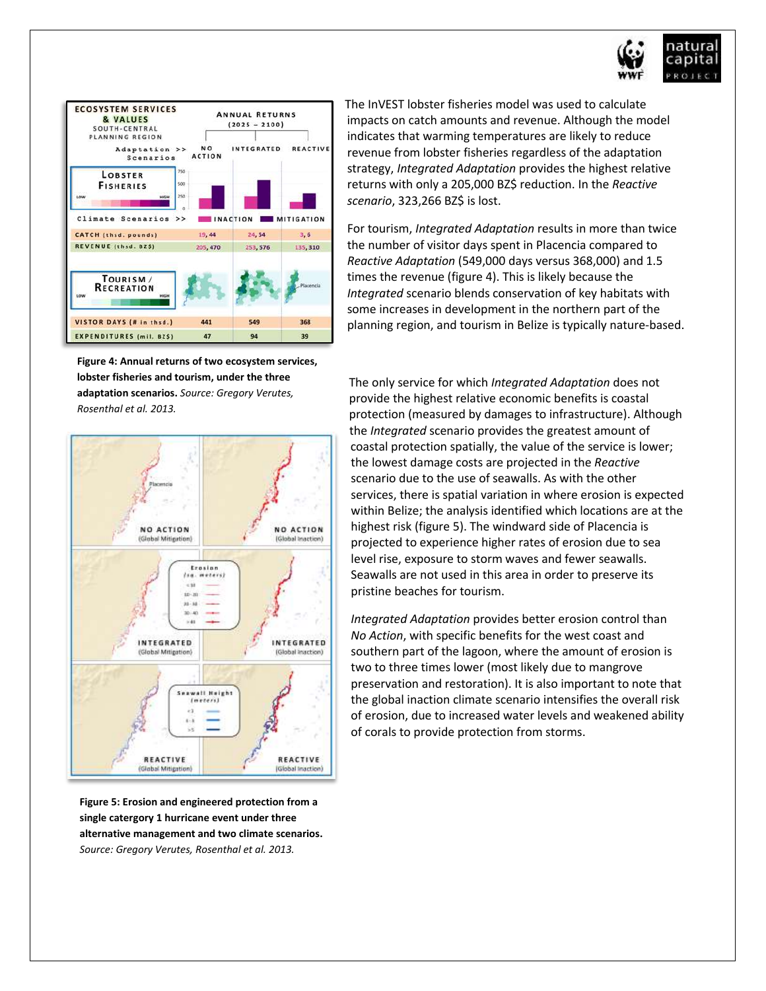



**Figure 4: Annual returns of two ecosystem services, lobster fisheries and tourism, under the three adaptation scenarios.** *Source: Gregory Verutes, Rosenthal et al. 2013.* 



**Figure 5: Erosion and engineered protection from a single catergory 1 hurricane event under three alternative management and two climate scenarios.** *Source: Gregory Verutes, Rosenthal et al. 2013.* 

The InVEST lobster fisheries model was used to calculate impacts on catch amounts and revenue. Although the model indicates that warming temperatures are likely to reduce revenue from lobster fisheries regardless of the adaptation strategy, *Integrated Adaptation* provides the highest relative returns with only a 205,000 BZ\$ reduction. In the *Reactive scenario*, 323,266 BZ\$ is lost.

For tourism, *Integrated Adaptation* results in more than twice the number of visitor days spent in Placencia compared to *Reactive Adaptation* (549,000 days versus 368,000) and 1.5 times the revenue (figure 4). This is likely because the *Integrated* scenario blends conservation of key habitats with some increases in development in the northern part of the planning region, and tourism in Belize is typically nature-based.

The only service for which *Integrated Adaptation* does not provide the highest relative economic benefits is coastal protection (measured by damages to infrastructure). Although the *Integrated* scenario provides the greatest amount of coastal protection spatially, the value of the service is lower; the lowest damage costs are projected in the *Reactive* scenario due to the use of seawalls. As with the other services, there is spatial variation in where erosion is expected within Belize; the analysis identified which locations are at the highest risk (figure 5). The windward side of Placencia is projected to experience higher rates of erosion due to sea level rise, exposure to storm waves and fewer seawalls. Seawalls are not used in this area in order to preserve its pristine beaches for tourism.

*Integrated Adaptation* provides better erosion control than *No Action*, with specific benefits for the west coast and southern part of the lagoon, where the amount of erosion is two to three times lower (most likely due to mangrove preservation and restoration). It is also important to note that the global inaction climate scenario intensifies the overall risk of erosion, due to increased water levels and weakened ability of corals to provide protection from storms.